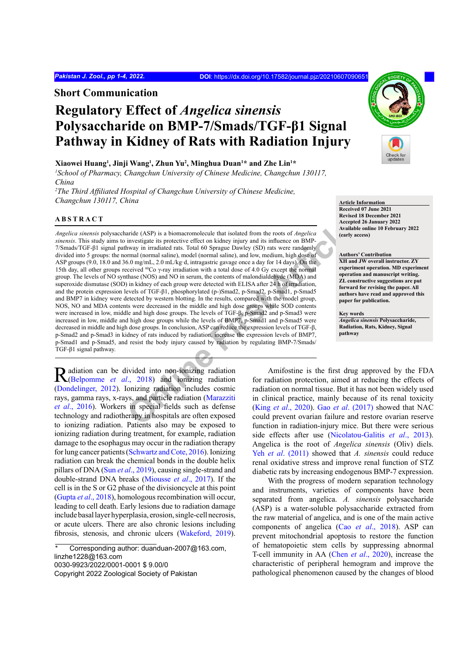**Short Communication**

# **Regulatory Effect of** *Angelica sinensis*  **Polysaccharide on BMP-7/Smads/TGF-β1 Signal Pathway in Kidney of Rats with Radiation Injury**

## **Xiaowei Huang<sup>1</sup> , Jinji Wang<sup>1</sup> , Zhun Yu2 , Minghua Duan<sup>1</sup> \* and Zhe Lin<sup>1</sup> \***

*1 School of Pharmacy, Changchun University of Chinese Medicine, Changchun 130117, China*

<sup>2</sup>The Third Affiliated Hospital of Changchun University of Chinese Medicine, *Changchun 130117, China* **Article Information** 

## **ABSTRACT**

aride (ASP) is a biomacromolecule that isolated from the roots of *Angelica*<br>
investigate its protective effect on kidney injury and its influence on BMP-<br>
havay in irradiated rats. Total 60 Sprague Dawley (SD) rats were r *Angelica sinensis* polysaccharide (ASP) is a biomacromolecule that isolated from the roots of *Angelica sinensis*. This study aims to investigate its protective effect on kidney injury and its influence on BMP-7/Smads/TGF-β1 signal pathway in irradiated rats. Total 60 Sprague Dawley (SD) rats were randomly divided into 5 groups: the normal (normal saline), model (normal saline), and low, medium, high dose of ASP groups (9.0, 18.0 and 36.0 mg/mL, 2.0 mL/kg·d, intragastric gavage once a day for 14 days). On the 15th day, all other groups received 60Co γ-ray irradiation with a total dose of 4.0 Gy except the normal group. The levels of NO synthase (NOS) and NO in serum, the contents of malondialdehyde (MDA) and superoxide dismutase (SOD) in kidney of each group were detected with ELISA after 24 h of irradiation, and the protein expression levels of TGF-β1, phosphorylated (p-)Smad2, p-Smad2, p-Smad1, p-Smad5 and BMP7 in kidney were detected by western blotting. In the results, compared with the model group, NOS, NO and MDA contents were decreased in the middle and high dose groups while SOD contents were increased in low, middle and high dose groups. The levels of TGF-β, p-Smad2 and p-Smad3 were increased in low, middle and high dose groups while the levels of BMP7, p-Smad1 and p-Smad5 were decreased in middle and high dose groups. In conclusion, ASP can reduce the expression levels of TGF-β, p-Smad2 and p-Smad3 in kidney of rats induced by radiation, increase the expression levels of BMP7, p-Smad1 and p-Smad5, and resist the body injury caused by radiation by regulating BMP-7/Smads/ TGF-β1 signal pathway.

Radiation can be divided into non-ionizing radiation (Belpomme *et al.*, 2018) and ionizing radiation ([Dondelinger, 2012\)](#page-3-1). Ionizing radiation includes cosmic rays, gamma rays, x-rays, and particle radiation (Marazziti *et al*[., 2016](#page-3-2)). Workers in special fields such as defense technology and radiotherapy in hospitals are often exposed to ionizing radiation. Patients also may be exposed to ionizing radiation during treatment, for example, radiation damage to the esophagus may occur in the radiation therapy for lung cancer patients ([Schwartz and Cote, 2016\)](#page-3-3). Ionizing radiation can break the chemical bonds in the double helix pillars of DNA (Sun *et al*[., 2019\)](#page-3-4), causing single-strand and double-strand DNA breaks ([Miousse](#page-3-5) *et al*., 2017). If the cell is in the S or G2 phase of the divisioncycle at this point (Gupta *et al*[., 2018\)](#page-3-6), homologous recombination will occur, leading to cell death. Early lesions due to radiation damage include basal layer hyperplasia, erosion, single-cell necrosis, or acute ulcers. There are also chronic lesions including fibrosis, stenosis, and chronic ulcers [\(Wakeford, 2019](#page-3-7)).

Corresponding author: duanduan-2007@163.com, linzhe1228@163.com

0030-9923/2022/0001-0001 \$ 9.00/0

Copyright 2022 Zoological Society of Pakistan



**Received 07 June 2021 Revised 18 December 2021 Accepted 26 January 2022 Available online 10 February 2022 (early access)**

#### **Authors' Contribution**

**XH and JW overall instructor. ZY experiment operation. MD experiment operation and manuscript writing. ZL constructive suggestions are put forward for revising the paper. All authors have read and approved this paper for publication.**

**Key words** *Angelica sinensis* **Polysaccharide, Radiation, Rats, Kidney, Signal pathway**

Amifostine is the first drug approved by the FDA for radiation protection, aimed at reducing the effects of radiation on normal tissue. But it has not been widely used in clinical practice, mainly because of its renal toxicity (King *et al*., 2020). Gao *et al*. (2017) showed that NAC could prevent ovarian failure and restore ovarian reserve function in radiation-injury mice. But there were serious side effects after use ([Nicolatou-Galitis](#page-3-10) *et al*., 2013). Angelica is the root of *Angelica sinensis* (Oliv) diels. Yeh *et al*[. \(2011\)](#page-3-11) showed that *A. sinensis* could reduce renal oxidative stress and improve renal function of STZ diabetic rats by increasing endogenous BMP-7 expression.

With the progress of modern separation technology and instruments, varieties of components have been separated from angelica. *A. sinensis* polysaccharide (ASP) is a water-soluble polysaccharide extracted from the raw material of angelica, and is one of the main active components of angelica (Cao *et al*[., 2018](#page-3-12)). ASP can prevent mitochondrial apoptosis to restore the function of hematopoietic stem cells by suppressing abnormal T-cell immunity in AA (Chen *et al*[., 2020](#page-3-13)), increase the characteristic of peripheral hemogram and improve the pathological phenomenon caused by the changes of blood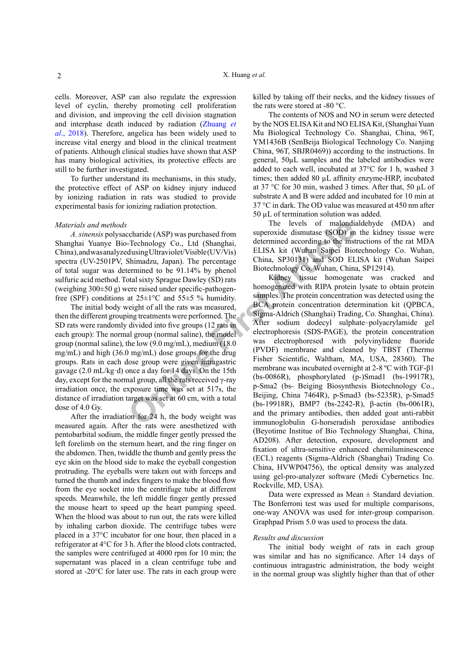cells. Moreover, ASP can also regulate the expression level of cyclin, thereby promoting cell proliferation and division, and improving the cell division stagnation and interphase death induced by radiation ([Zhuang](#page-3-14) *et al*[., 2018\)](#page-3-14). Therefore, angelica has been widely used to increase vital energy and blood in the clinical treatment of patients. Although clinical studies have shown that ASP has many biological activities, its protective effects are still to be further investigated.

To further understand its mechanisms, in this study, the protective effect of ASP on kidney injury induced by ionizing radiation in rats was studied to provide experimental basis for ionizing radiation protection.

## *Materials and methods*

*A. sinensis* polysaccharide (ASP) was purchased from Shanghai Yuanye Bio-Technology Co., Ltd (Shanghai, China), and was analyzed using Ultraviolet/Visible (UV/Vis) spectra (UV-2501PV, Shimadzu, Japan). The percentage of total sugar was determined to be 91.14% by phenol sulfuric acid method. Total sixty Sprague Dawley (SD) rats (weighing 300±50 g) were raised under specific-pathogenfree (SPF) conditions at  $25 \pm 1$ °C and  $55 \pm 5$  % humidity.

The initial body weight of all the rats was measured, then the different grouping treatments were performed. The SD rats were randomly divided into five groups (12 rats in each group): The normal group (normal saline), the model group (normal saline), the low (9.0 mg/mL), medium (18.0 mg/mL) and high (36.0 mg/mL) dose groups for the drug groups. Rats in each dose group were given intragastric gavage (2.0 mL/kg·d) once a day for 14 days. On the 15th day, except for the normal group, all the rats received γ-ray irradiation once, the exposure time was set at 517s, the distance of irradiation target was set at 60 cm, with a total dose of 4.0 Gy.

After the irradiation for 24 h, the body weight was measured again. After the rats were anesthetized with pentobarbital sodium, the middle finger gently pressed the left forelimb on the sternum heart, and the ring finger on the abdomen. Then, twiddle the thumb and gently press the eye skin on the blood side to make the eyeball congestion protruding. The eyeballs were taken out with forceps and turned the thumb and index fingers to make the blood flow from the eye socket into the centrifuge tube at different speeds. Meanwhile, the left middle finger gently pressed the mouse heart to speed up the heart pumping speed. When the blood was about to run out, the rats were killed by inhaling carbon dioxide. The centrifuge tubes were placed in a 37°C incubator for one hour, then placed in a refrigerator at 4°C for 3 h. After the blood clots contracted, the samples were centrifuged at 4000 rpm for 10 min; the supernatant was placed in a clean centrifuge tube and stored at -20°C for later use. The rats in each group were killed by taking off their necks, and the kidney tissues of the rats were stored at -80 °C.

The contents of NOS and NO in serum were detected by the NOS ELISA Kit and NO ELISA Kit, (Shanghai Yuan Mu Biological Technology Co. Shanghai, China, 96T, YM1436B (SenBeija Biological Technology Co. Nanjing China, 96T, SBJR0469)) according to the instructions. In general, 50µL samples and the labeled antibodies were added to each well, incubated at 37°C for 1 h, washed 3 times; then added 80 µL affinity enzyme-HRP, incubated at 37 °C for 30 min, washed 3 times. After that, 50 µL of substrate A and B were added and incubated for 10 min at 37 °C in dark. The OD value was measured at 450 nm after 50 µL of termination solution was added.

The levels of malondialdehyde (MDA) and superoxide dismutase (SOD) in the kidney tissue were determined according to the instructions of the rat MDA ELISA kit (Wuhan Saipei Biotechnology Co. Wuhan, China, SP30131) and SOD ELISA kit (Wuhan Saipei Biotechnology Co. Wuhan, China, SP12914).

The levels of malandia<br>
The levels of malandia<br>
Technology Co., Ltd (Shanghai, determined according to the inst<br>
dusing Ultraviolet/Visible(UV/Vis) ELISA kit (Wuhan Saipei Bioto<br>
Shimadzu, Japan). The percentage China, SP3 Kidney tissue homogenate was cracked and homogenized with RIPA protein lysate to obtain protein samples. The protein concentration was detected using the BCA protein concentration determination kit (QPBCA, Sigma-Aldrich (Shanghai) Trading, Co. Shanghai, China). After sodium dodecyl sulphate–polyacrylamide gel electrophoresis (SDS-PAGE), the protein concentration was electrophoresed with polyvinylidene fluoride (PVDF) membrane and cleaned by TBST (Thermo Fisher Scientific, Waltham, MA, USA, 28360). The membrane was incubated overnight at 2-8 ºC with TGF-β1 (bs-0086R), phosphorylated (p-)Smad1 (bs-19917R), p-Sma2 (bs- Beiging Biosynthesis Biotechnology Co., Beijing, China 7464R), p-Smad3 (bs-5235R), p-Smad5 (bs-19918R), BMP7 (bs-2242-R), β-actin (bs-0061R), and the primary antibodies, then added goat anti-rabbit immunoglobulin G-horseradish peroxidase antibodies (Beyotime Institue of Bio Technology Shanghai, China, AD208). After detection, exposure, development and fixation of ultra-sensitive enhanced chemiluminescence (ECL) reagents (Sigma-Aldrich (Shanghai) Trading Co. China, HVWP04756), the optical density was analyzed using gel-pro-analyzer software (Medi Cybernetics Inc. Rockville, MD, USA).

> Data were expressed as Mean  $\pm$  Standard deviation. The Bonferroni test was used for multiple comparisons, one-way ANOVA was used for inter-group comparison. Graphpad Prism 5.0 was used to process the data.

## *Results and discussion*

The initial body weight of rats in each group was similar and has no significance. After 14 days of continuous intragastric administration, the body weight in the normal group was slightly higher than that of other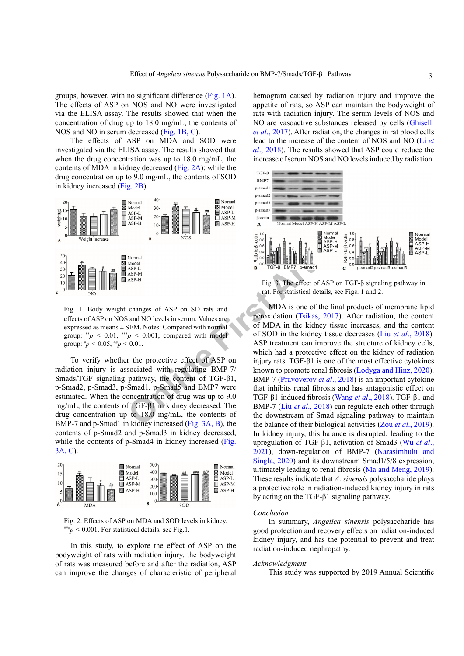groups, however, with no significant difference [\(Fig. 1A](#page-2-0)). The effects of ASP on NOS and NO were investigated via the ELISA assay. The results showed that when the concentration of drug up to 18.0 mg/mL, the contents of NOS and NO in serum decreased ([Fig. 1B](#page-2-0), C).

The effects of ASP on MDA and SOD were investigated via the ELISA assay. The results showed that when the drug concentration was up to 18.0 mg/mL, the contents of MDA in kidney decreased [\(Fig. 2A\)](#page-2-1); while the drug concentration up to 9.0 mg/mL, the contents of SOD in kidney increased ([Fig. 2B](#page-2-1)).



<span id="page-2-0"></span>Fig. 1. Body weight changes of ASP on SD rats and effects of ASP on NOS and NO levels in serum. Values are expressed as means ± SEM. Notes: Compared with normal group:  $*^{*}p < 0.01$ ,  $**^{*}p < 0.001$ ; compared with model group:  $^{*}p$  < 0.05,  $^{*}p$  < 0.01.

To verify whether the protective effect of ASP on radiation injury is associated with regulating BMP-7/ Smads/TGF signaling pathway, the content of TGF-β1, p-Smad2, p-Smad3, p-Smad1, p-Smad5 and BMP7 were estimated. When the concentration of drug was up to 9.0 mg/mL, the contents of TGF-β1 in kidney decreased. The drug concentration up to 18.0 mg/mL, the contents of BMP-7 and p-Smad1 in kidney increased (Fig. 3A, B), the contents of p-Smad2 and p-Smad3 in kidney decreased, while the contents of p-Smad4 in kidney increased ([Fig.](#page-2-2) [3A, C](#page-2-2)).



<span id="page-2-1"></span>Fig. 2. Effects of ASP on MDA and SOD levels in kidney.  $^{#H#}p \leq 0.001$ . For statistical details, see Fig.1.

In this study, to explore the effect of ASP on the bodyweight of rats with radiation injury, the bodyweight of rats was measured before and after the radiation, ASP can improve the changes of characteristic of peripheral

hemogram caused by radiation injury and improve the appetite of rats, so ASP can maintain the bodyweight of rats with radiation injury. The serum levels of NOS and NO are vasoactive substances released by cells ([Ghiselli](#page-3-15) *et al*[., 2017](#page-3-15)). After radiation, the changes in rat blood cells lead to the increase of the content of NOS and NO [\(Li](#page-3-16) *et al*[., 2018\)](#page-3-16). The results showed that ASP could reduce the increase of serum NOS and NO levels induced by radiation.



<span id="page-2-2"></span>Fig. 3. The effect of ASP on TGF-β signaling pathway in rat. For statistical details, see Figs. 1 and 2.

ASP-H<br>
Normal<br>
Normal<br>
Normal<br>
Normal<br>
Normal<br>
Normal<br>
Normal<br>
Normal<br>
Normal<br>
Normal<br>
Normal<br>
Normal<br>
Normal<br>
Normal<br>
Normal<br>
Normal<br>
Normal<br>
Normal<br>
Normal<br>
Normal<br>
Normal<br>
Normal<br>
Normal<br>
Normal<br>
Normal<br>
Normal<br>
Normal MDA is one of the final products of membrane lipid peroxidation (Tsikas, 2017). After radiation, the content of MDA in the kidney tissue increases, and the content of SOD in the kidney tissue decreases (Liu *et al*[., 2018](#page-3-18)). ASP treatment can improve the structure of kidney cells, which had a protective effect on the kidney of radiation injury rats. TGF-β1 is one of the most effective cytokines known to promote renal fibrosis [\(Lodyga and Hinz, 2020](#page-3-19)). BMP-7 (Pravoverov *et al*., 2018) is an important cytokine that inhibits renal fibrosis and has antagonistic effect on TGF-β1-induced fibrosis (Wang *et al*., 2018). TGF-β1 and BMP-7 (Liu *et al*., 2018) can regulate each other through the downstream of Smad signaling pathway to maintain the balance of their biological activities (Zou *et al*[., 2019](#page-3-23)). In kidney injury, this balance is disrupted, leading to the upregulation of TGF-β1, activation of Smad3 (Wu *[et al](#page-3-24)*., [2021\)](#page-3-24), down-regulation of BMP-7 ([Narasimhulu and](#page-3-25) [Singla, 2020](#page-3-25)) and its downstream Smad1/5/8 expression, ultimately leading to renal fibrosis [\(Ma and Meng, 2019](#page-3-26)). These results indicate that *A. sinensis* polysaccharide plays a protective role in radiation-induced kidney injury in rats by acting on the TGF-β1 signaling pathway.

#### *Conclusion*

In summary, *Angelica sinensis* polysaccharide has good protection and recovery effects on radiation-induced kidney injury, and has the potential to prevent and treat radiation-induced nephropathy.

### *Acknowledgment*

This study was supported by 2019 Annual Scientific